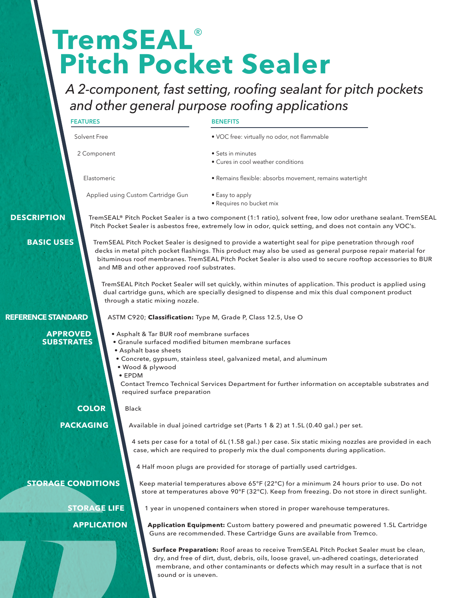# **TremSEAL**®  **Pitch Pocket Sealer**

*A 2-component, fast setting, roofing sealant for pitch pockets and other general purpose roofing applications*

|                           | <b>FEATURES</b>                                                                                                                                                                                                                            | <b>BENEFITS</b>                                                                                                                                                                                                                                                                                                                     |
|---------------------------|--------------------------------------------------------------------------------------------------------------------------------------------------------------------------------------------------------------------------------------------|-------------------------------------------------------------------------------------------------------------------------------------------------------------------------------------------------------------------------------------------------------------------------------------------------------------------------------------|
|                           | Solvent Free                                                                                                                                                                                                                               | · VOC free: virtually no odor, not flammable                                                                                                                                                                                                                                                                                        |
|                           | 2 Component                                                                                                                                                                                                                                | • Sets in minutes<br>• Cures in cool weather conditions                                                                                                                                                                                                                                                                             |
|                           | Elastomeric                                                                                                                                                                                                                                | · Remains flexible: absorbs movement, remains watertight                                                                                                                                                                                                                                                                            |
|                           | Applied using Custom Cartridge Gun                                                                                                                                                                                                         | • Easy to apply<br>· Requires no bucket mix                                                                                                                                                                                                                                                                                         |
| <b>DESCRIPTION</b>        |                                                                                                                                                                                                                                            | TremSEAL® Pitch Pocket Sealer is a two component (1:1 ratio), solvent free, low odor urethane sealant. TremSEAL<br>Pitch Pocket Sealer is asbestos free, extremely low in odor, quick setting, and does not contain any VOC's.                                                                                                      |
| <b>BASIC USES</b>         | and MB and other approved roof substrates.                                                                                                                                                                                                 | TremSEAL Pitch Pocket Sealer is designed to provide a watertight seal for pipe penetration through roof<br>decks in metal pitch pocket flashings. This product may also be used as general purpose repair material for<br>bituminous roof membranes. TremSEAL Pitch Pocket Sealer is also used to secure rooftop accessories to BUR |
|                           | through a static mixing nozzle.                                                                                                                                                                                                            | TremSEAL Pitch Pocket Sealer will set quickly, within minutes of application. This product is applied using<br>dual cartridge guns, which are specially designed to dispense and mix this dual component product                                                                                                                    |
| <b>REFERENCE STANDARD</b> |                                                                                                                                                                                                                                            | ASTM C920; Classification: Type M, Grade P, Class 12.5, Use O                                                                                                                                                                                                                                                                       |
|                           | <b>APPROVED</b><br>· Asphalt & Tar BUR roof membrane surfaces<br><b>SUBSTRATES</b><br>· Granule surfaced modified bitumen membrane surfaces<br>• Asphalt base sheets<br>· Wood & plywood<br>$\bullet$ EPDM<br>required surface preparation | · Concrete, gypsum, stainless steel, galvanized metal, and aluminum<br>Contact Tremco Technical Services Department for further information on acceptable substrates and                                                                                                                                                            |
|                           | <b>COLOR</b><br><b>Black</b>                                                                                                                                                                                                               |                                                                                                                                                                                                                                                                                                                                     |
|                           | <b>PACKAGING</b>                                                                                                                                                                                                                           | Available in dual joined cartridge set (Parts 1 & 2) at 1.5L (0.40 gal.) per set.                                                                                                                                                                                                                                                   |
|                           |                                                                                                                                                                                                                                            | 4 sets per case for a total of 6L (1.58 gal.) per case. Six static mixing nozzles are provided in each<br>case, which are required to properly mix the dual components during application.                                                                                                                                          |
|                           |                                                                                                                                                                                                                                            | 4 Half moon plugs are provided for storage of partially used cartridges.                                                                                                                                                                                                                                                            |
|                           | <b>STORAGE CONDITIONS</b>                                                                                                                                                                                                                  | Keep material temperatures above 65°F (22°C) for a minimum 24 hours prior to use. Do not<br>store at temperatures above 90°F (32°C). Keep from freezing. Do not store in direct sunlight.                                                                                                                                           |
|                           | <b>STORAGE LIFE</b>                                                                                                                                                                                                                        | 1 year in unopened containers when stored in proper warehouse temperatures.                                                                                                                                                                                                                                                         |
|                           | <b>APPLICATION</b>                                                                                                                                                                                                                         | Application Equipment: Custom battery powered and pneumatic powered 1.5L Cartridge<br>Guns are recommended. These Cartridge Guns are available from Tremco.                                                                                                                                                                         |
|                           |                                                                                                                                                                                                                                            | Surface Preparation: Roof areas to receive TremSEAL Pitch Pocket Sealer must be clean,                                                                                                                                                                                                                                              |

dry, and free of dirt, dust, debris, oils, loose gravel, un-adhered coatings, deteriorated membrane, and other contaminants or defects which may result in a surface that is not sound or is uneven.